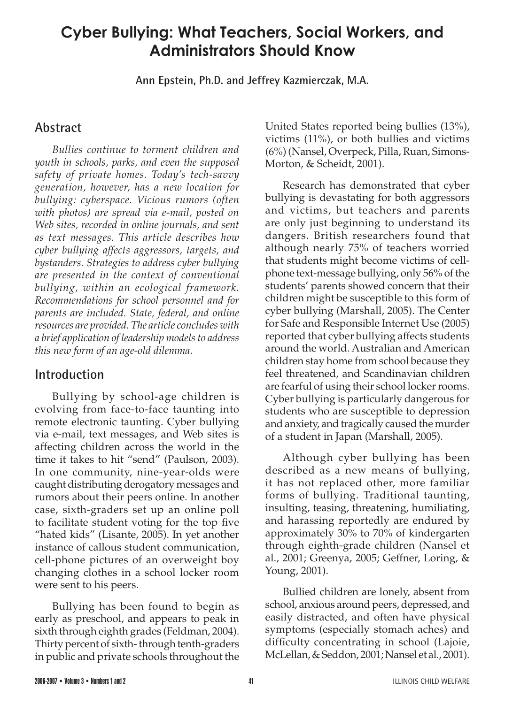# **Cyber Bullying: What Teachers, Social Workers, and Administrators Should Know**

**Ann Epstein, Ph.D. and Jeffrey Kazmierczak, M.A.**

## **Abstract**

*Bullies continue to torment children and youth in schools, parks, and even the supposed safety of private homes. Today's tech-savvy generation, however, has a new location for bullying: cyberspace. Vicious rumors (often with photos) are spread via e-mail, posted on Web sites, recorded in online journals, and sent as text messages. This article describes how cyber bullying affects aggressors, targets, and bystanders. Strategies to address cyber bullying are presented in the context of conventional bullying, within an ecological framework. Recommendations for school personnel and for parents are included. State, federal, and online resources are provided. The article concludes with a brief application of leadership modelsto address this new form of an age-old dilemma.*

### **Introduction**

Bullying by school-age children is evolving from face-to-face taunting into remote electronic taunting. Cyber bullying via e-mail, text messages, and Web sites is affecting children across the world in the time it takes to hit "send" (Paulson, 2003). In one community, nine-year-olds were caught distributing derogatory messages and rumors about their peers online. In another case, sixth-graders set up an online poll to facilitate student voting for the top five "hated kids" (Lisante, 2005). In yet another instance of callous student communication, cell-phone pictures of an overweight boy changing clothes in a school locker room were sent to his peers.

Bullying has been found to begin as early as preschool, and appears to peak in sixth through eighth grades (Feldman, 2004). Thirty percent of sixth-through tenth-graders in public and private schools throughout the

United States reported being bullies (13%), victims  $(11\%)$ , or both bullies and victims (6%) (Nansel, Overpeck, Pilla, Ruan, Simons-Morton, & Scheidt, 2001).

Research has demonstrated that cyber bullying is devastating for both aggressors and victims, but teachers and parents are only just beginning to understand its dangers. British researchers found that although nearly 75% of teachers worried that students might become victims of cellphone text-message bullying, only 56% of the students' parents showed concern that their children might be susceptible to this form of cyber bullying (Marshall, 2005). The Center for Safe and Responsible Internet Use (2005) reported that cyber bullying affects students around the world. Australian and American children stay home from school because they feel threatened, and Scandinavian children are fearful of using their school locker rooms. Cyber bullying is particularly dangerous for students who are susceptible to depression and anxiety, and tragically caused the murder of a student in Japan (Marshall, 2005).

Although cyber bullying has been described as a new means of bullying, it has not replaced other, more familiar forms of bullying. Traditional taunting, insulting, teasing, threatening, humiliating, and harassing reportedly are endured by approximately 30% to 70% of kindergarten through eighth-grade children (Nansel et al., 2001; Greenya, 2005; Geffner, Loring, & Young, 2001).

Bullied children are lonely, absent from school, anxious around peers, depressed, and easily distracted, and often have physical symptoms (especially stomach aches) and difficulty concentrating in school (Lajoie, McLellan,&Seddon, 2001;Nansel et al., 2001).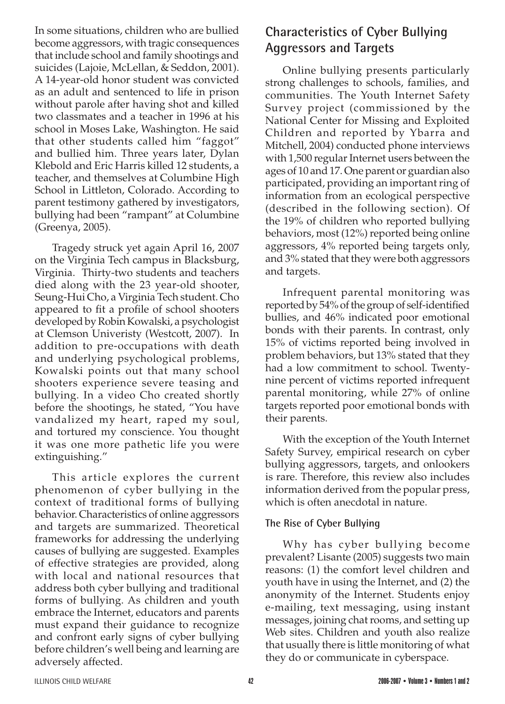In some situations, children who are bullied become aggressors, with tragic consequences that include school and family shootings and suicides (Lajoie, McLellan, & Seddon, 2001). A 14-year-old honor student was convicted as an adult and sentenced to life in prison without parole after having shot and killed two classmates and a teacher in 1996 at his school in Moses Lake, Washington. He said that other students called him "faggot" and bullied him. Three years later, Dylan Klebold and Eric Harris killed 12 students, a teacher, and themselves at Columbine High School in Littleton, Colorado. According to parent testimony gathered by investigators, bullying had been "rampant" at Columbine (Greenya, 2005).

Tragedy struck yet again April 16, 2007 on the Virginia Tech campus in Blacksburg, Virginia. Thirty-two students and teachers died along with the 23 year-old shooter, Seung-Hui Cho, a Virginia Tech student. Cho appeared to fit a profile of school shooters developed by Robin Kowalski, a psychologist at Clemson Univeristy (Westcott, 2007). In addition to pre-occupations with death and underlying psychological problems, Kowalski points out that many school shooters experience severe teasing and bullying. In a video Cho created shortly before the shootings, he stated, "You have vandalized my heart, raped my soul, and tortured my conscience. You thought it was one more pathetic life you were extinguishing."

This article explores the current phenomenon of cyber bullying in the context of traditional forms of bullying behavior. Characteristics of online aggressors and targets are summarized. Theoretical frameworks for addressing the underlying causes of bullying are suggested. Examples of effective strategies are provided, along with local and national resources that address both cyber bullying and traditional forms of bullying. As children and youth embrace the Internet, educators and parents must expand their guidance to recognize and confront early signs of cyber bullying before children's well being and learning are adversely affected.

# **Characteristics of Cyber Bullying Aggressors and Targets**

Online bullying presents particularly strong challenges to schools, families, and communities. The Youth Internet Safety Survey project (commissioned by the National Center for Missing and Exploited Children and reported by Ybarra and Mitchell, 2004) conducted phone interviews with 1,500 regular Internet users between the ages of 10 and 17.One parent or guardian also participated, providing an important ring of information from an ecological perspective (described in the following section). Of the 19% of children who reported bullying behaviors, most (12%) reported being online aggressors, 4% reported being targets only, and 3% stated that they were both aggressors and targets.

Infrequent parental monitoring was reported by 54% of the group of self-identified bullies, and 46% indicated poor emotional bonds with their parents. In contrast, only 15% of victims reported being involved in problem behaviors, but 13% stated that they had a low commitment to school. Twentynine percent of victims reported infrequent parental monitoring, while 27% of online targets reported poor emotional bonds with their parents.

With the exception of the Youth Internet Safety Survey, empirical research on cyber bullying aggressors, targets, and onlookers is rare. Therefore, this review also includes information derived from the popular press, which is often anecdotal in nature.

#### **The Rise of Cyber Bullying**

Why has cyber bullying become prevalent? Lisante (2005) suggests two main reasons: (1) the comfort level children and youth have in using the Internet, and (2) the anonymity of the Internet. Students enjoy e-mailing, text messaging, using instant messages, joining chat rooms, and setting up Web sites. Children and youth also realize that usually there is little monitoring of what they do or communicate in cyberspace.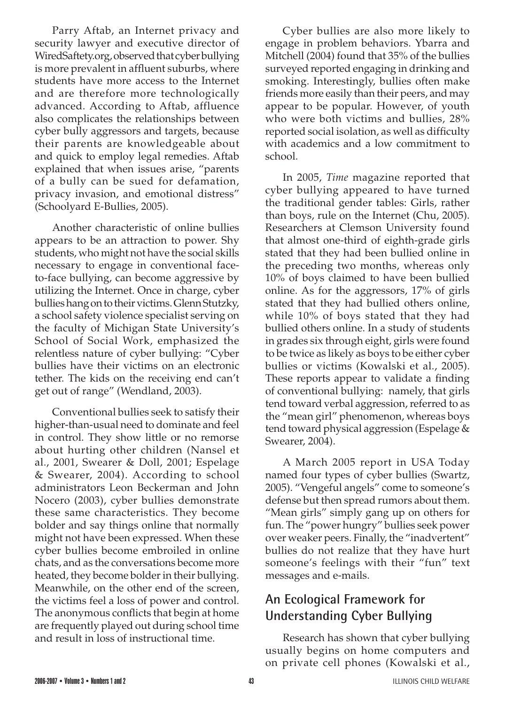Parry Aftab, an Internet privacy and security lawyer and executive director of WiredSaftety.org, observed that cyber bullying is more prevalent in affluent suburbs, where students have more access to the Internet and are therefore more technologically advanced. According to Aftab, affluence also complicates the relationships between cyber bully aggressors and targets, because their parents are knowledgeable about and quick to employ legal remedies. Aftab explained that when issues arise, "parents of a bully can be sued for defamation, privacy invasion, and emotional distress" (Schoolyard E-Bullies, 2005).

Another characteristic of online bullies appears to be an attraction to power. Shy students, who might not have the social skills necessary to engage in conventional faceto-face bullying, can become aggressive by utilizing the Internet. Once in charge, cyber bullies hang on to their victims. Glenn Stutzky, a school safety violence specialist serving on the faculty of Michigan State University's School of Social Work, emphasized the relentless nature of cyber bullying: "Cyber bullies have their victims on an electronic tether. The kids on the receiving end can't get out of range" (Wendland, 2003).

Conventional bullies seek to satisfy their higher-than-usual need to dominate and feel in control. They show little or no remorse about hurting other children (Nansel et al., 2001, Swearer & Doll, 2001; Espelage & Swearer, 2004). According to school administrators Leon Beckerman and John Nocero (2003), cyber bullies demonstrate these same characteristics. They become bolder and say things online that normally might not have been expressed. When these cyber bullies become embroiled in online chats, and as the conversations become more heated, they become bolder in their bullying. Meanwhile, on the other end of the screen, the victims feel a loss of power and control. The anonymous conflicts that begin at home are frequently played out during school time and result in loss of instructional time.

Cyber bullies are also more likely to engage in problem behaviors. Ybarra and Mitchell  $(2004)$  found that  $35\%$  of the bullies surveyed reported engaging in drinking and smoking. Interestingly, bullies often make friends more easily than their peers, and may appear to be popular. However, of youth who were both victims and bullies, 28% reported social isolation, as well as difficulty with academics and a low commitment to school.

In 2005, *Time* magazine reported that cyber bullying appeared to have turned the traditional gender tables: Girls, rather than boys, rule on the Internet (Chu, 2005). Researchers at Clemson University found that almost one-third of eighth-grade girls stated that they had been bullied online in the preceding two months, whereas only 10% of boys claimed to have been bullied online. As for the aggressors, 17% of girls stated that they had bullied others online, while 10% of boys stated that they had bullied others online. In a study of students in grades six through eight, girls were found to be twice as likely as boys to be either cyber bullies or victims (Kowalski et al., 2005). These reports appear to validate a finding of conventional bullying: namely, that girls tend toward verbal aggression, referred to as the "mean girl" phenomenon, whereas boys tend toward physical aggression (Espelage & Swearer, 2004).

A March 2005 report in USA Today named four types of cyber bullies (Swartz, 2005). "Vengeful angels" come to someone's defense but then spread rumors about them. "Mean girls" simply gang up on others for fun. The "power hungry" bullies seek power over weaker peers. Finally, the "inadvertent" bullies do not realize that they have hurt someone's feelings with their "fun" text messages and e-mails.

# **An Ecological Framework for Understanding Cyber Bullying**

Research has shown that cyber bullying usually begins on home computers and on private cell phones (Kowalski et al.,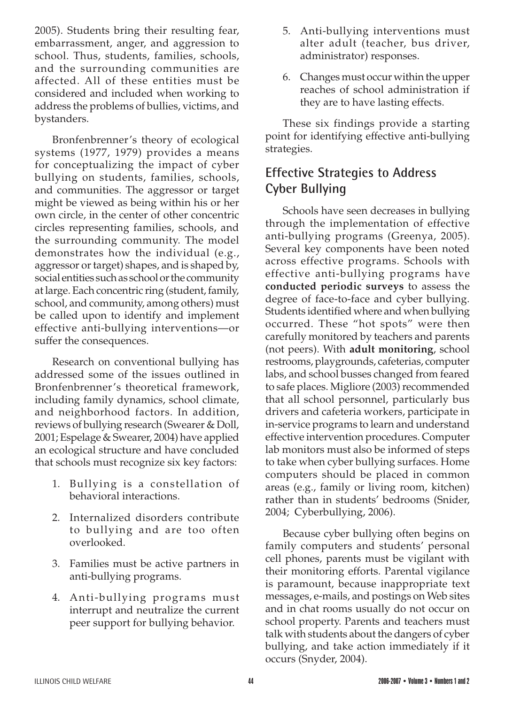2005). Students bring their resulting fear, embarrassment, anger, and aggression to school. Thus, students, families, schools, and the surrounding communities are affected. All of these entities must be considered and included when working to address the problems of bullies, victims, and bystanders.

Bronfenbrenner's theory of ecological systems (1977, 1979) provides a means for conceptualizing the impact of cyber bullying on students, families, schools, and communities. The aggressor or target might be viewed as being within his or her own circle, in the center of other concentric circles representing families, schools, and the surrounding community. The model demonstrates how the individual (e.g., aggressor or target) shapes, and is shaped by, social entities such as school or the community at large. Each concentric ring (student, family, school, and community, among others) must be called upon to identify and implement effective anti-bullying interventions—or suffer the consequences.

Research on conventional bullying has addressed some of the issues outlined in Bronfenbrenner's theoretical framework, including family dynamics, school climate, and neighborhood factors. In addition, reviews of bullying research (Swearer & Doll, 2001; Espelage & Swearer, 2004) have applied an ecological structure and have concluded that schools must recognize six key factors:

- 1. Bullying is a constellation of behavioral interactions.
- 2. Internalized disorders contribute to bullying and are too often overlooked.
- 3. Families must be active partners in anti-bullying programs.
- 4. Anti-bullying programs must interrupt and neutralize the current peer support for bullying behavior.
- 5. Anti-bullying interventions must alter adult (teacher, bus driver, administrator) responses.
- 6. Changes must occur within the upper reaches of school administration if they are to have lasting effects.

These six findings provide a starting point for identifying effective anti-bullying strategies.

# **Effective Strategies to Address Cyber Bullying**

Schools have seen decreases in bullying through the implementation of effective anti-bullying programs (Greenya, 2005). Several key components have been noted across effective programs. Schools with effective anti-bullying programs have **conducted periodic surveys** to assess the degree of face-to-face and cyber bullying. Students identified where and when bullying occurred. These "hot spots" were then carefully monitored by teachers and parents (not peers). With **adult monitoring**, school restrooms, playgrounds, cafeterias, computer labs, and school busses changed from feared to safe places. Migliore (2003) recommended that all school personnel, particularly bus drivers and cafeteria workers, participate in in-service programs to learn and understand effective intervention procedures. Computer lab monitors must also be informed of steps to take when cyber bullying surfaces. Home computers should be placed in common areas (e.g., family or living room, kitchen) rather than in students' bedrooms (Snider, 2004; Cyberbullying, 2006).

Because cyber bullying often begins on family computers and students' personal cell phones, parents must be vigilant with their monitoring efforts. Parental vigilance is paramount, because inappropriate text messages, e-mails, and postings on Web sites and in chat rooms usually do not occur on school property. Parents and teachers must talk with students about the dangers of cyber bullying, and take action immediately if it occurs (Snyder, 2004).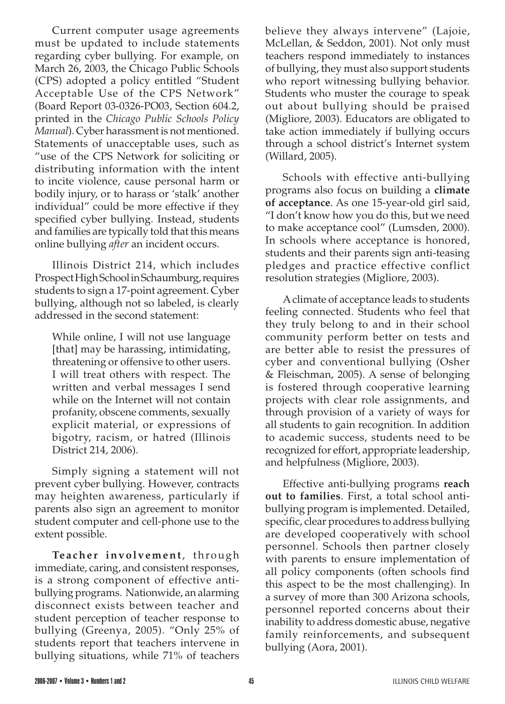Current computer usage agreements must be updated to include statements regarding cyber bullying. For example, on March 26, 2003, the Chicago Public Schools (CPS) adopted a policy entitled "Student Acceptable Use of the CPS Network" (Board Report 03-0326-PO03, Section 604.2, printed in the *Chicago Public Schools Policy Manual*). Cyber harassment is not mentioned. Statements of unacceptable uses, such as "use of the CPS Network for soliciting or distributing information with the intent to incite violence, cause personal harm or bodily injury, or to harass or 'stalk' another individual" could be more effective if they specified cyber bullying. Instead, students and families are typically told that this means online bullying *after* an incident occurs.

Illinois District 214, which includes Prospect High School in Schaumburg, requires students to sign a 17-point agreement. Cyber bullying, although not so labeled, is clearly addressed in the second statement:

While online, I will not use language [that] may be harassing, intimidating, threatening or offensive to other users. I will treat others with respect. The written and verbal messages I send while on the Internet will not contain profanity, obscene comments, sexually explicit material, or expressions of bigotry, racism, or hatred (Illinois District 214, 2006).

Simply signing a statement will not prevent cyber bullying. However, contracts may heighten awareness, particularly if parents also sign an agreement to monitor student computer and cell-phone use to the extent possible.

**Te a che r involvement**, through immediate, caring, and consistent responses, is a strong component of effective antibullying programs. Nationwide, an alarming disconnect exists between teacher and student perception of teacher response to bullying (Greenya, 2005). "Only 25% of students report that teachers intervene in bullying situations, while 71% of teachers

believe they always intervene" (Lajoie, McLellan, & Seddon, 2001). Not only must teachers respond immediately to instances of bullying, they must also support students who report witnessing bullying behavior. Students who muster the courage to speak out about bullying should be praised (Migliore, 2003). Educators are obligated to take action immediately if bullying occurs through a school district's Internet system (Willard, 2005).

Schools with effective anti-bullying programs also focus on building a **climate of acceptance**. As one 15-year-old girl said, "I don't know how you do this, but we need to make acceptance cool" (Lumsden, 2000). In schools where acceptance is honored, students and their parents sign anti-teasing pledges and practice effective conflict resolution strategies (Migliore, 2003).

Aclimate of acceptance leads to students feeling connected. Students who feel that they truly belong to and in their school community perform better on tests and are better able to resist the pressures of cyber and conventional bullying (Osher & Fleischman, 2005). A sense of belonging is fostered through cooperative learning projects with clear role assignments, and through provision of a variety of ways for all students to gain recognition. In addition to academic success, students need to be recognized for effort, appropriate leadership, and helpfulness (Migliore, 2003).

Effective anti-bullying programs **reach out to families**. First, a total school antibullying program is implemented. Detailed, specific, clear procedures to address bullying are developed cooperatively with school personnel. Schools then partner closely with parents to ensure implementation of all policy components (often schools find this aspect to be the most challenging). In a survey of more than 300 Arizona schools, personnel reported concerns about their inability to address domestic abuse, negative family reinforcements, and subsequent bullying (Aora, 2001).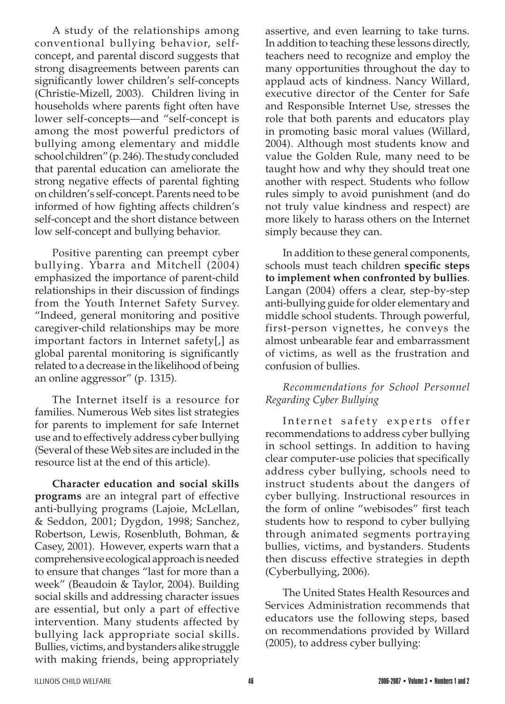A study of the relationships among conventional bullying behavior, selfconcept, and parental discord suggests that strong disagreements between parents can significantly lower children's self-concepts (Christie-Mizell, 2003). Children living in households where parents fight often have lower self-concepts—and "self-concept is among the most powerful predictors of bullying among elementary and middle school children" (p. 246). The study concluded that parental education can ameliorate the strong negative effects of parental fighting on children's self-concept. Parents need to be informed of how fighting affects children's self-concept and the short distance between low self-concept and bullying behavior.

Positive parenting can preempt cyber bullying. Ybarra and Mitchell (2004) emphasized the importance of parent-child relationships in their discussion of findings from the Youth Internet Safety Survey. "Indeed, general monitoring and positive caregiver-child relationships may be more important factors in Internet safety[,] as global parental monitoring is significantly related to a decrease in the likelihood of being an online aggressor" (p. 1315).

The Internet itself is a resource for families. Numerous Web sites list strategies for parents to implement for safe Internet use and to effectively address cyber bullying (Several of these Web sites are included in the resource list at the end of this article).

**Character education and social skills programs** are an integral part of effective anti-bullying programs (Lajoie, McLellan, & Seddon, 2001; Dygdon, 1998; Sanchez, Robertson, Lewis, Rosenbluth, Bohman, & Casey, 2001). However, experts warn that a comprehensive ecological approach is needed to ensure that changes "last for more than a week" (Beaudoin & Taylor, 2004). Building social skills and addressing character issues are essential, but only a part of effective intervention. Many students affected by bullying lack appropriate social skills. Bullies, victims, andbystanders alike struggle with making friends, being appropriately

assertive, and even learning to take turns. In addition to teaching these lessons directly, teachers need to recognize and employ the many opportunities throughout the day to applaud acts of kindness. Nancy Willard, executive director of the Center for Safe and Responsible Internet Use, stresses the role that both parents and educators play in promoting basic moral values (Willard, 2004). Although most students know and value the Golden Rule, many need to be taught how and why they should treat one another with respect. Students who follow rules simply to avoid punishment (and do not truly value kindness and respect) are more likely to harass others on the Internet simply because they can.

In addition to these general components, schools must teach children **specific steps to implement when confronted by bullies**. Langan (2004) offers a clear, step-by-step anti-bullying guide for older elementary and middle school students. Through powerful, first-person vignettes, he conveys the almost unbearable fear and embarrassment of victims, as well as the frustration and confusion of bullies.

### *Recommendations for School Personnel Regarding Cyber Bullying*

Internet safety experts offer recommendations to address cyber bullying in school settings. In addition to having clear computer-use policies that specifically address cyber bullying, schools need to instruct students about the dangers of cyber bullying. Instructional resources in the form of online "webisodes" first teach students how to respond to cyber bullying through animated segments portraying bullies, victims, and bystanders. Students then discuss effective strategies in depth (Cyberbullying, 2006).

The United States Health Resources and Services Administration recommends that educators use the following steps, based on recommendations provided by Willard (2005), to address cyber bullying: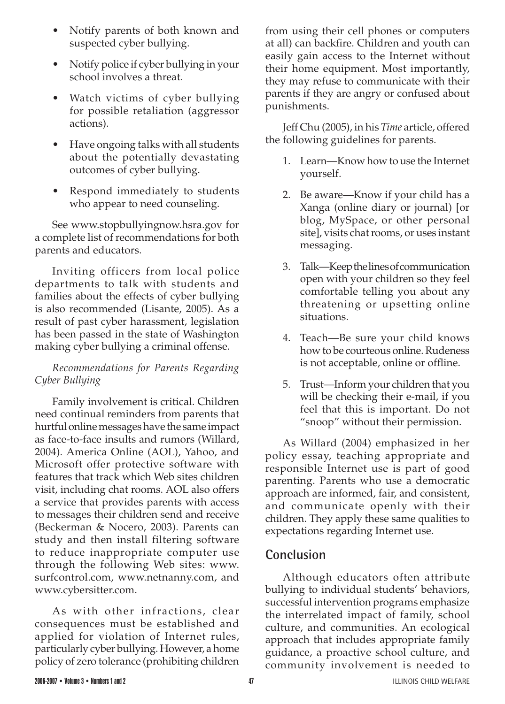- Notify parents of both known and suspected cyber bullying.
- Notify police if cyber bullying in your school involves a threat.
- Watch victims of cyber bullying for possible retaliation (aggressor actions).
- Have ongoing talks with all students about the potentially devastating outcomes of cyber bullying.
- Respond immediately to students who appear to need counseling.

See www.stopbullyingnow.hsra.gov for a complete list of recommendations for both parents and educators.

Inviting officers from local police departments to talk with students and families about the effects of cyber bullying is also recommended (Lisante, 2005). As a result of past cyber harassment, legislation has been passed in the state of Washington making cyber bullying a criminal offense.

### *Recommendations for Parents Regarding Cyber Bullying*

Family involvement is critical. Children need continual reminders from parents that hurtful online messages have the same impact as face-to-face insults and rumors (Willard, 2004). America Online (AOL), Yahoo, and Microsoft offer protective software with features that track which Web sites children visit, including chat rooms. AOL also offers a service that provides parents with access to messages their children send and receive (Beckerman & Nocero, 2003). Parents can study and then install filtering software to reduce inappropriate computer use through the following Web sites: www. surfcontrol.com, www.netnanny.com, and www.cybersitter.com.

As with other infractions, clear consequences must be established and applied for violation of Internet rules, particularly cyber bullying. However, a home policy of zero tolerance (prohibiting children

from using their cell phones or computers at all) can backfire. Children and youth can easily gain access to the Internet without their home equipment. Most importantly, they may refuse to communicate with their parents if they are angry or confused about punishments.

Jeff Chu (2005), in his *Time* article, offered the following guidelines for parents.

- 1. Learn—Know how to use the Internet yourself.
- 2. Be aware—Know if your child has a Xanga (online diary or journal) [or blog, MySpace, or other personal site], visits chat rooms, or uses instant messaging.
- 3. Talk—Keepthelinesofcommunication open with your children so they feel comfortable telling you about any threatening or upsetting online situations.
- 4. Teach—Be sure your child knows how to be courteous online. Rudeness is not acceptable, online or offline.
- 5. Trust—Inform your children that you will be checking their e-mail, if you feel that this is important. Do not "snoop" without their permission.

As Willard (2004) emphasized in her policy essay, teaching appropriate and responsible Internet use is part of good parenting. Parents who use a democratic approach are informed, fair, and consistent, and communicate openly with their children. They apply these same qualities to expectations regarding Internet use.

### **Conclusion**

Although educators often attribute bullying to individual students' behaviors, successful intervention programs emphasize the interrelated impact of family, school culture, and communities. An ecological approach that includes appropriate family guidance, a proactive school culture, and community involvement is needed to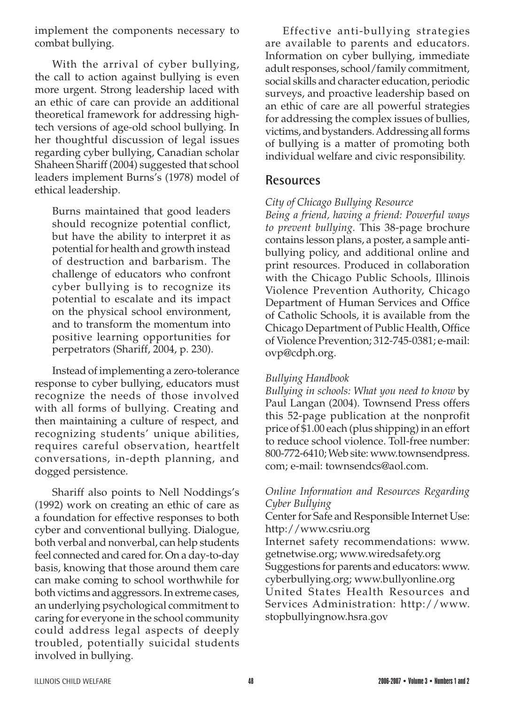implement the components necessary to combat bullying.

With the arrival of cyber bullying, the call to action against bullying is even more urgent. Strong leadership laced with an ethic of care can provide an additional theoretical framework for addressing hightech versions of age-old school bullying. In her thoughtful discussion of legal issues regarding cyber bullying, Canadian scholar Shaheen Shariff (2004) suggested that school leaders implement Burns's (1978) model of ethical leadership.

Burns maintained that good leaders should recognize potential conflict, but have the ability to interpret it as potential for health and growth instead of destruction and barbarism. The challenge of educators who confront cyber bullying is to recognize its potential to escalate and its impact on the physical school environment, and to transform the momentum into positive learning opportunities for perpetrators (Shariff, 2004, p. 230).

Instead of implementing a zero-tolerance response to cyber bullying, educators must recognize the needs of those involved with all forms of bullying. Creating and then maintaining a culture of respect, and recognizing students' unique abilities, requires careful observation, heartfelt conversations, in-depth planning, and dogged persistence.

Shariff also points to Nell Noddings's (1992) work on creating an ethic of care as a foundation for effective responses to both cyber and conventional bullying. Dialogue, both verbal and nonverbal, can help students feel connected and cared for. On a day-to-day basis, knowing that those around them care can make coming to school worthwhile for both victims and aggressors. In extreme cases, an underlying psychological commitment to caring for everyone in the school community could address legal aspects of deeply troubled, potentially suicidal students involved in bullying.

Effective anti-bullying strategies are available to parents and educators. Information on cyber bullying, immediate adult responses, school/family commitment, social skills and character education, periodic surveys, and proactive leadership based on an ethic of care are all powerful strategies for addressing the complex issues of bullies, victims, and bystanders. Addressing all forms of bullying is a matter of promoting both individual welfare and civic responsibility.

### **Resources**

#### *City of Chicago Bullying Resource*

*Being a friend, having a friend: Powerful ways to prevent bullying.* This 38-page brochure contains lesson plans, a poster, a sample antibullying policy, and additional online and print resources. Produced in collaboration with the Chicago Public Schools, Illinois Violence Prevention Authority, Chicago Department of Human Services and Office of Catholic Schools, it is available from the Chicago Department of Public Health, Office of Violence Prevention; 312-745-0381; e-mail: ovp@cdph.org.

#### *Bullying Handbook*

*Bullying in schools: What you need to know* by Paul Langan (2004). Townsend Press offers this 52-page publication at the nonprofit price of \$1.00 each (plus shipping) in an effort to reduce school violence. Toll-free number: 800-772-6410; Web site: www.townsendpress. com; e-mail: townsendcs@aol.com.

#### *Online Information and Resources Regarding Cyber Bullying*

Center for Safe and Responsible Internet Use: http://www.csriu.org

Internet safety recommendations: www. getnetwise.org; www.wiredsafety.org Suggestions for parents and educators: www. cyberbullying.org; www.bullyonline.org United States Health Resources and Services Administration: http://www. stopbullyingnow.hsra.gov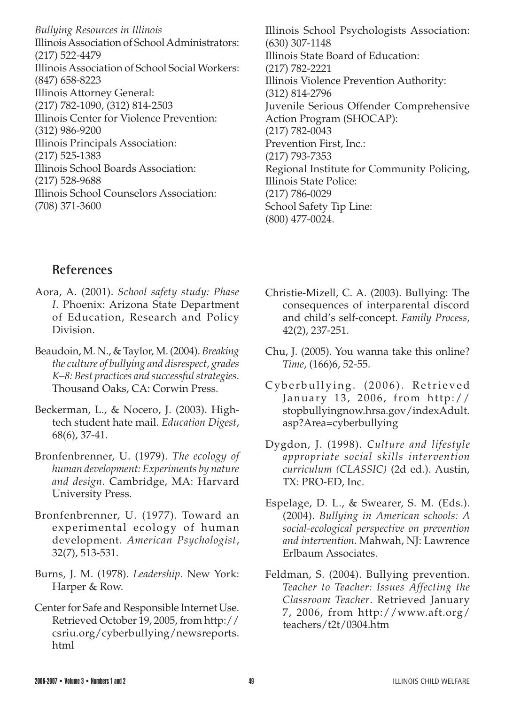*Bullying Resources in Illinois* Illinois Association of School Administrators: (217) 522-4479 IllinoisAssociation of School Social Workers: (847) 658-8223 Illinois Attorney General: (217) 782-1090, (312) 814-2503 Illinois Center for Violence Prevention: (312) 986-9200 Illinois Principals Association: (217) 525-1383 Illinois School Boards Association: (217) 528-9688 Illinois School Counselors Association: (708) 371-3600

Illinois School Psychologists Association: (630) 307-1148 Illinois State Board of Education: (217) 782-2221 Illinois Violence Prevention Authority: (312) 814-2796 Juvenile Serious Offender Comprehensive Action Program (SHOCAP): (217) 782-0043 Prevention First, Inc.: (217) 793-7353 Regional Institute for Community Policing, Illinois State Police: (217) 786-0029 School Safety Tip Line: (800) 477-0024.

### **References**

- Aora, A. (2001). *School safety study: Phase I*. Phoenix: Arizona State Department of Education, Research and Policy Division.
- Beaudoin, M. N., & Taylor, M.(2004). *Breaking the culture of bullying and disrespect, grades K–8: Best practices and successfulstrategies*. Thousand Oaks, CA: Corwin Press.
- Beckerman, L., & Nocero, J. (2003). Hightech student hate mail. *Education Digest*, 68(6), 37-41.
- Bronfenbrenner, U. (1979). *The ecology of human development: Experiments by nature and design*. Cambridge, MA: Harvard University Press.
- Bronfenbrenner, U. (1977). Toward an experimental ecology of human development. *American Psychologist*, 32(7), 513-531.
- Burns, J. M. (1978). *Leadership*. New York: Harper & Row.
- Center for Safe and Responsible Internet Use. Retrieved October 19, 2005, from http:// csriu.org/cyberbullying/newsreports. html
- Christie-Mizell, C. A. (2003). Bullying: The consequences of interparental discord and child's self-concept. *Family Process*, 42(2), 237-251.
- Chu, J. (2005). You wanna take this online? *Time*, (166)6, 52-55.
- Cyberbullying. (2006). Retrieved January 13, 2006, from http:// stopbullyingnow.hrsa.gov/indexAdult. asp?Area=cyberbullying
- Dygdon, J. (1998). *Culture and lifestyle appropriate social skills intervention curriculum (CLASSIC)* (2d ed.). Austin, TX: PRO-ED, Inc.
- Espelage, D. L., & Swearer, S. M. (Eds.). (2004). *Bullying in American schools: A social-ecological perspective on prevention and intervention*. Mahwah, NJ: Lawrence Erlbaum Associates.
- Feldman, S. (2004). Bullying prevention. *Teacher to Teacher: Issues Affecting the Classroom Teacher*. Retrieved January 7, 2006, from http://www.aft.org/ teachers/t2t/0304.htm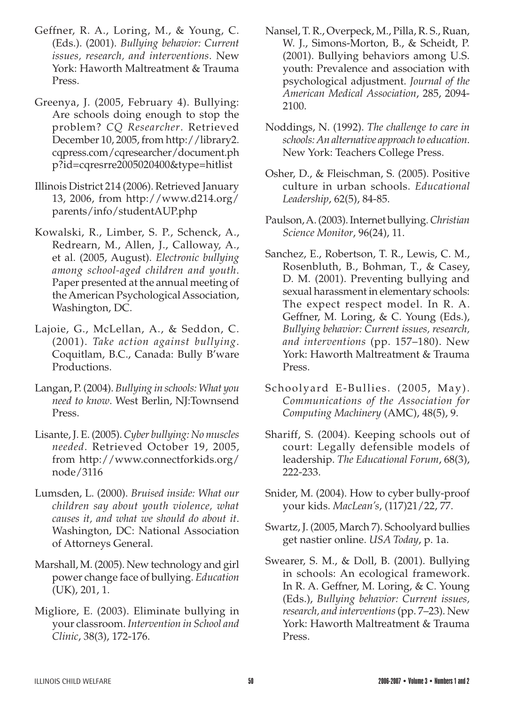- Geffner, R. A., Loring, M., & Young, C. (Eds.). (2001). *Bullying behavior: Current issues, research, and interventions*. New York: Haworth Maltreatment & Trauma Press.
- Greenya, J. (2005, February 4). Bullying: Are schools doing enough to stop the problem? *CQ Researcher*. Retrieved December 10, 2005, from http://library2. cqpress.com/cqresearcher/document.ph p?id=cqresrre2005020400&type=hitlist
- Illinois District 214 (2006). Retrieved January 13, 2006, from http://www.d214.org/ parents/info/studentAUP.php
- Kowalski, R., Limber, S. P., Schenck, A., Redrearn, M., Allen, J., Calloway, A., et al. (2005, August). *Electronic bullying among school-aged children and youth*. Paper presented at the annual meeting of the American Psychological Association, Washington, DC.
- Lajoie, G., McLellan, A., & Seddon, C. (2001). *Take action against bullying*. Coquitlam, B.C., Canada: Bully B'ware Productions.
- Langan, P.(2004). *Bullying in schools: What you need to know*. West Berlin, NJ:Townsend Press.
- Lisante, J. E. (2005). *Cyber bullying: No muscles needed*. Retrieved October 19, 2005, from http://www.connectforkids.org/ node/3116
- Lumsden, L. (2000). *Bruised inside: What our children say about youth violence, what causes it, and what we should do about it*. Washington, DC: National Association of Attorneys General.
- Marshall, M.(2005). New technology and girl power change face of bullying. *Education* (UK), 201, 1.
- Migliore, E. (2003). Eliminate bullying in your classroom. *Intervention in School and Clinic*, 38(3), 172-176.
- Nansel, T. R., Overpeck, M., Pilla, R. S., Ruan, W. J., Simons-Morton, B., & Scheidt, P. (2001). Bullying behaviors among U.S. youth: Prevalence and association with psychological adjustment. *Journal of the American Medical Association*, 285, 2094- 2100.
- Noddings, N. (1992). *The challenge to care in schools: An alternative approach to education*. New York: Teachers College Press.
- Osher, D., & Fleischman, S. (2005). Positive culture in urban schools. *Educational Leadership*, 62(5), 84-85.
- Paulson,A.(2003).Internet bullying.*Christian Science Monitor*, 96(24), 11.
- Sanchez, E., Robertson, T. R., Lewis, C. M., Rosenbluth, B., Bohman, T., & Casey, D. M. (2001). Preventing bullying and sexual harassment in elementary schools: The expect respect model. In R. A. Geffner, M. Loring, & C. Young (Eds.), *Bullying behavior: Current issues, research, and interventions* (pp. 157–180). New York: Haworth Maltreatment & Trauma Press.
- Schoolyard E-Bullies. (2005, May). *Communications of the Association for Computing Machinery* (AMC), 48(5), 9.
- Shariff, S. (2004). Keeping schools out of court: Legally defensible models of leadership. *The Educational Forum*, 68(3), 222-233.
- Snider, M. (2004). How to cyber bully-proof your kids. *MacLean's*, (117)21/22, 77.
- Swartz, J. (2005, March 7). Schoolyard bullies get nastier online. *USA Today*, p. 1a.
- Swearer, S. M., & Doll, B. (2001). Bullying in schools: An ecological framework. In R. A. Geffner, M. Loring, & C. Young (Eds.), *Bullying behavior: Current issues, research, and interventions*(pp. 7–23). New York: Haworth Maltreatment & Trauma Press.